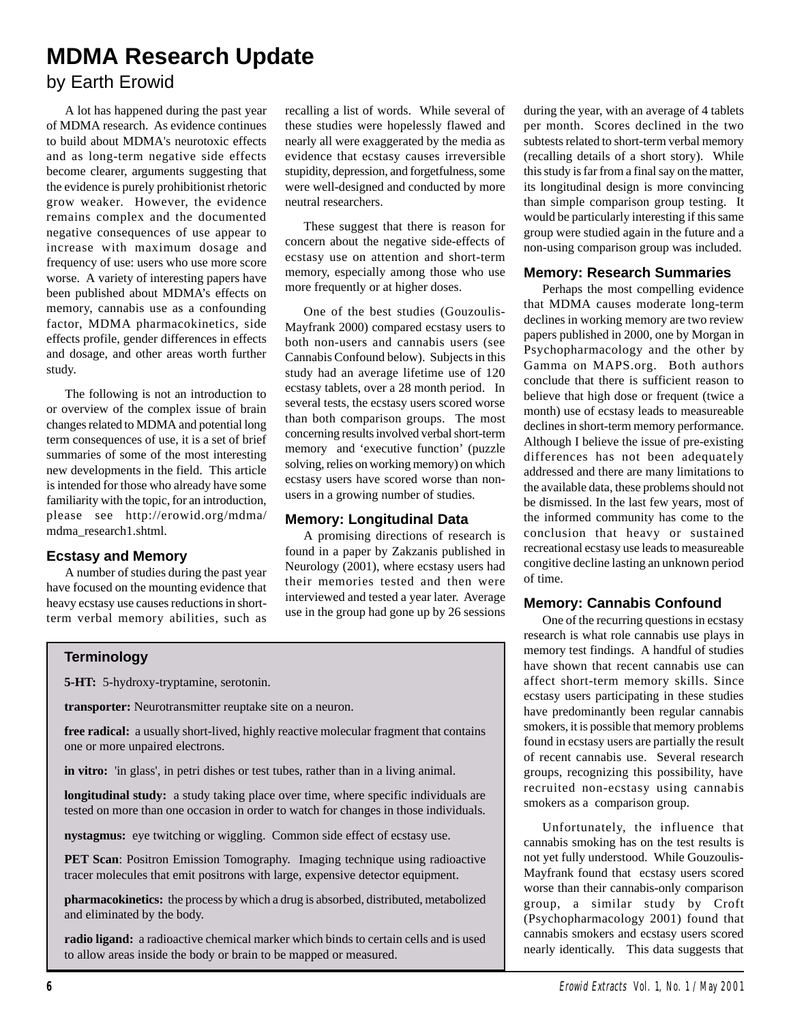# **MDMA Research Update**

# by Earth Erowid

A lot has happened during the past year of MDMA research. As evidence continues to build about MDMA's neurotoxic effects and as long-term negative side effects become clearer, arguments suggesting that the evidence is purely prohibitionist rhetoric grow weaker. However, the evidence remains complex and the documented negative consequences of use appear to increase with maximum dosage and frequency of use: users who use more score worse. A variety of interesting papers have been published about MDMA's effects on memory, cannabis use as a confounding factor, MDMA pharmacokinetics, side effects profile, gender differences in effects and dosage, and other areas worth further study.

The following is not an introduction to or overview of the complex issue of brain changes related to MDMA and potential long term consequences of use, it is a set of brief summaries of some of the most interesting new developments in the field. This article is intended for those who already have some familiarity with the topic, for an introduction, please see http://erowid.org/mdma/ mdma\_research1.shtml.

## **Ecstasy and Memory**

A number of studies during the past year have focused on the mounting evidence that heavy ecstasy use causes reductions in shortterm verbal memory abilities, such as recalling a list of words. While several of these studies were hopelessly flawed and nearly all were exaggerated by the media as evidence that ecstasy causes irreversible stupidity, depression, and forgetfulness, some were well-designed and conducted by more neutral researchers.

These suggest that there is reason for concern about the negative side-effects of ecstasy use on attention and short-term memory, especially among those who use more frequently or at higher doses.

One of the best studies (Gouzoulis-Mayfrank 2000) compared ecstasy users to both non-users and cannabis users (see Cannabis Confound below). Subjects in this study had an average lifetime use of 120 ecstasy tablets, over a 28 month period. In several tests, the ecstasy users scored worse than both comparison groups. The most concerning results involved verbal short-term memory and 'executive function' (puzzle solving, relies on working memory) on which ecstasy users have scored worse than nonusers in a growing number of studies.

## **Memory: Longitudinal Data**

A promising directions of research is found in a paper by Zakzanis published in Neurology (2001), where ecstasy users had their memories tested and then were interviewed and tested a year later. Average use in the group had gone up by 26 sessions during the year, with an average of 4 tablets per month. Scores declined in the two subtests related to short-term verbal memory (recalling details of a short story). While this study is far from a final say on the matter, its longitudinal design is more convincing than simple comparison group testing. It would be particularly interesting if this same group were studied again in the future and a non-using comparison group was included.

## **Memory: Research Summaries**

Perhaps the most compelling evidence that MDMA causes moderate long-term declines in working memory are two review papers published in 2000, one by Morgan in Psychopharmacology and the other by Gamma on MAPS.org. Both authors conclude that there is sufficient reason to believe that high dose or frequent (twice a month) use of ecstasy leads to measureable declines in short-term memory performance. Although I believe the issue of pre-existing differences has not been adequately addressed and there are many limitations to the available data, these problems should not be dismissed. In the last few years, most of the informed community has come to the conclusion that heavy or sustained recreational ecstasy use leads to measureable congitive decline lasting an unknown period of time.

## **Memory: Cannabis Confound**

One of the recurring questions in ecstasy research is what role cannabis use plays in memory test findings. A handful of studies have shown that recent cannabis use can affect short-term memory skills. Since ecstasy users participating in these studies have predominantly been regular cannabis smokers, it is possible that memory problems found in ecstasy users are partially the result of recent cannabis use. Several research groups, recognizing this possibility, have recruited non-ecstasy using cannabis smokers as a comparison group.

Unfortunately, the influence that cannabis smoking has on the test results is not yet fully understood. While Gouzoulis-Mayfrank found that ecstasy users scored worse than their cannabis-only comparison group, a similar study by Croft (Psychopharmacology 2001) found that cannabis smokers and ecstasy users scored nearly identically. This data suggests that

## **Terminology**

**5-HT:** 5-hydroxy-tryptamine, serotonin.

**transporter:** Neurotransmitter reuptake site on a neuron.

free radical: a usually short-lived, highly reactive molecular fragment that contains one or more unpaired electrons.

**in vitro:** 'in glass', in petri dishes or test tubes, rather than in a living animal.

**longitudinal study:** a study taking place over time, where specific individuals are tested on more than one occasion in order to watch for changes in those individuals.

**nystagmus:** eye twitching or wiggling. Common side effect of ecstasy use.

**PET Scan**: Positron Emission Tomography. Imaging technique using radioactive tracer molecules that emit positrons with large, expensive detector equipment.

**pharmacokinetics:** the process by which a drug is absorbed, distributed, metabolized and eliminated by the body.

**radio ligand:** a radioactive chemical marker which binds to certain cells and is used to allow areas inside the body or brain to be mapped or measured.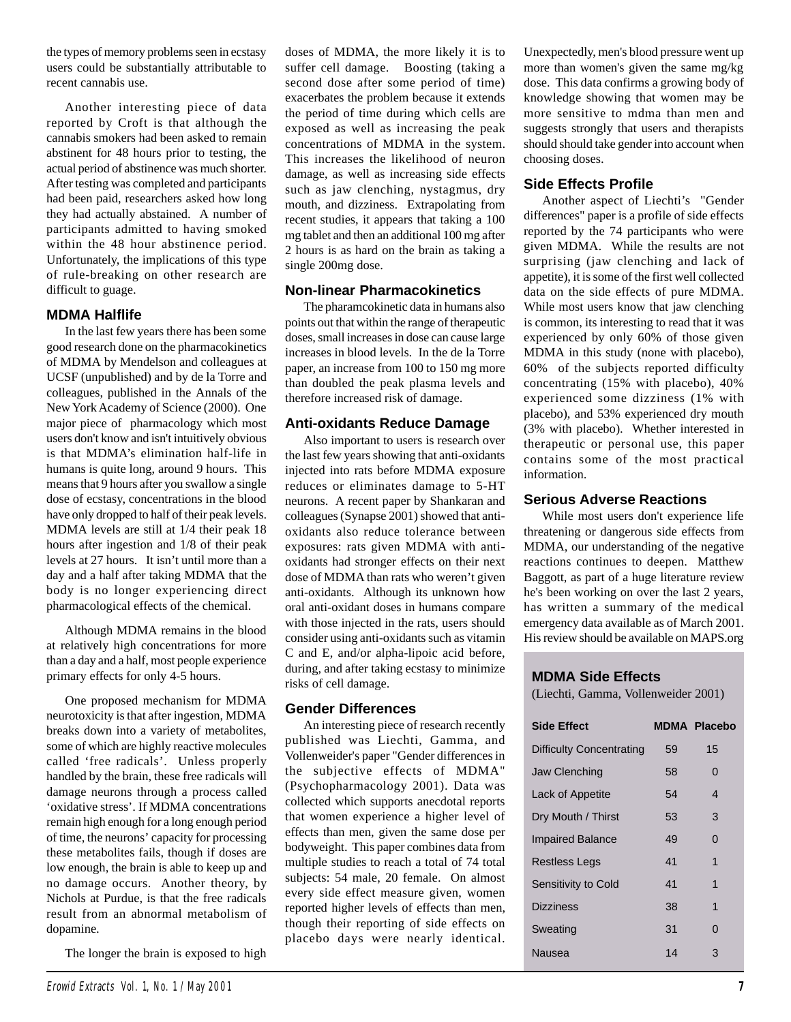the types of memory problems seen in ecstasy users could be substantially attributable to recent cannabis use.

Another interesting piece of data reported by Croft is that although the cannabis smokers had been asked to remain abstinent for 48 hours prior to testing, the actual period of abstinence was much shorter. After testing was completed and participants had been paid, researchers asked how long they had actually abstained. A number of participants admitted to having smoked within the 48 hour abstinence period. Unfortunately, the implications of this type of rule-breaking on other research are difficult to guage.

## **MDMA Halflife**

In the last few years there has been some good research done on the pharmacokinetics of MDMA by Mendelson and colleagues at UCSF (unpublished) and by de la Torre and colleagues, published in the Annals of the New York Academy of Science (2000). One major piece of pharmacology which most users don't know and isn't intuitively obvious is that MDMA's elimination half-life in humans is quite long, around 9 hours. This means that 9 hours after you swallow a single dose of ecstasy, concentrations in the blood have only dropped to half of their peak levels. MDMA levels are still at 1/4 their peak 18 hours after ingestion and 1/8 of their peak levels at 27 hours. It isn't until more than a day and a half after taking MDMA that the body is no longer experiencing direct pharmacological effects of the chemical.

Although MDMA remains in the blood at relatively high concentrations for more than a day and a half, most people experience primary effects for only 4-5 hours.

One proposed mechanism for MDMA neurotoxicity is that after ingestion, MDMA breaks down into a variety of metabolites, some of which are highly reactive molecules called 'free radicals'. Unless properly handled by the brain, these free radicals will damage neurons through a process called 'oxidative stress'. If MDMA concentrations remain high enough for a long enough period of time, the neurons' capacity for processing these metabolites fails, though if doses are low enough, the brain is able to keep up and no damage occurs. Another theory, by Nichols at Purdue, is that the free radicals result from an abnormal metabolism of dopamine.

The longer the brain is exposed to high

doses of MDMA, the more likely it is to suffer cell damage. Boosting (taking a second dose after some period of time) exacerbates the problem because it extends the period of time during which cells are exposed as well as increasing the peak concentrations of MDMA in the system. This increases the likelihood of neuron damage, as well as increasing side effects such as jaw clenching, nystagmus, dry mouth, and dizziness. Extrapolating from recent studies, it appears that taking a 100 mg tablet and then an additional 100 mg after 2 hours is as hard on the brain as taking a single 200mg dose.

## **Non-linear Pharmacokinetics**

The pharamcokinetic data in humans also points out that within the range of therapeutic doses, small increases in dose can cause large increases in blood levels. In the de la Torre paper, an increase from 100 to 150 mg more than doubled the peak plasma levels and therefore increased risk of damage.

## **Anti-oxidants Reduce Damage**

Also important to users is research over the last few years showing that anti-oxidants injected into rats before MDMA exposure reduces or eliminates damage to 5-HT neurons. A recent paper by Shankaran and colleagues (Synapse 2001) showed that antioxidants also reduce tolerance between exposures: rats given MDMA with antioxidants had stronger effects on their next dose of MDMA than rats who weren't given anti-oxidants. Although its unknown how oral anti-oxidant doses in humans compare with those injected in the rats, users should consider using anti-oxidants such as vitamin C and E, and/or alpha-lipoic acid before, during, and after taking ecstasy to minimize risks of cell damage.

## **Gender Differences**

An interesting piece of research recently published was Liechti, Gamma, and Vollenweider's paper "Gender differences in the subjective effects of MDMA" (Psychopharmacology 2001). Data was collected which supports anecdotal reports that women experience a higher level of effects than men, given the same dose per bodyweight. This paper combines data from multiple studies to reach a total of 74 total subjects: 54 male, 20 female. On almost every side effect measure given, women reported higher levels of effects than men, though their reporting of side effects on placebo days were nearly identical.

Unexpectedly, men's blood pressure went up more than women's given the same mg/kg dose. This data confirms a growing body of knowledge showing that women may be more sensitive to mdma than men and suggests strongly that users and therapists should should take gender into account when choosing doses.

## **Side Effects Profile**

Another aspect of Liechti's "Gender differences" paper is a profile of side effects reported by the 74 participants who were given MDMA. While the results are not surprising (jaw clenching and lack of appetite), it is some of the first well collected data on the side effects of pure MDMA. While most users know that jaw clenching is common, its interesting to read that it was experienced by only 60% of those given MDMA in this study (none with placebo), 60% of the subjects reported difficulty concentrating (15% with placebo), 40% experienced some dizziness (1% with placebo), and 53% experienced dry mouth (3% with placebo). Whether interested in therapeutic or personal use, this paper contains some of the most practical information.

## **Serious Adverse Reactions**

While most users don't experience life threatening or dangerous side effects from MDMA, our understanding of the negative reactions continues to deepen. Matthew Baggott, as part of a huge literature review he's been working on over the last 2 years, has written a summary of the medical emergency data available as of March 2001. His review should be available on MAPS.org

## **MDMA Side Effects**

(Liechti, Gamma, Vollenweider 2001)

| <b>Side Effect</b>              |    | <b>MDMA Placebo</b> |
|---------------------------------|----|---------------------|
| <b>Difficulty Concentrating</b> | 59 | 15                  |
| Jaw Clenching                   | 58 | 0                   |
| Lack of Appetite                | 54 | 4                   |
| Dry Mouth / Thirst              | 53 | 3                   |
| <b>Impaired Balance</b>         | 49 | $\Omega$            |
| <b>Restless Legs</b>            | 41 | 1                   |
| Sensitivity to Cold             | 41 | 1                   |
| <b>Dizziness</b>                | 38 | 1                   |
| Sweating                        | 31 | O                   |
| Nausea                          | 14 | З                   |